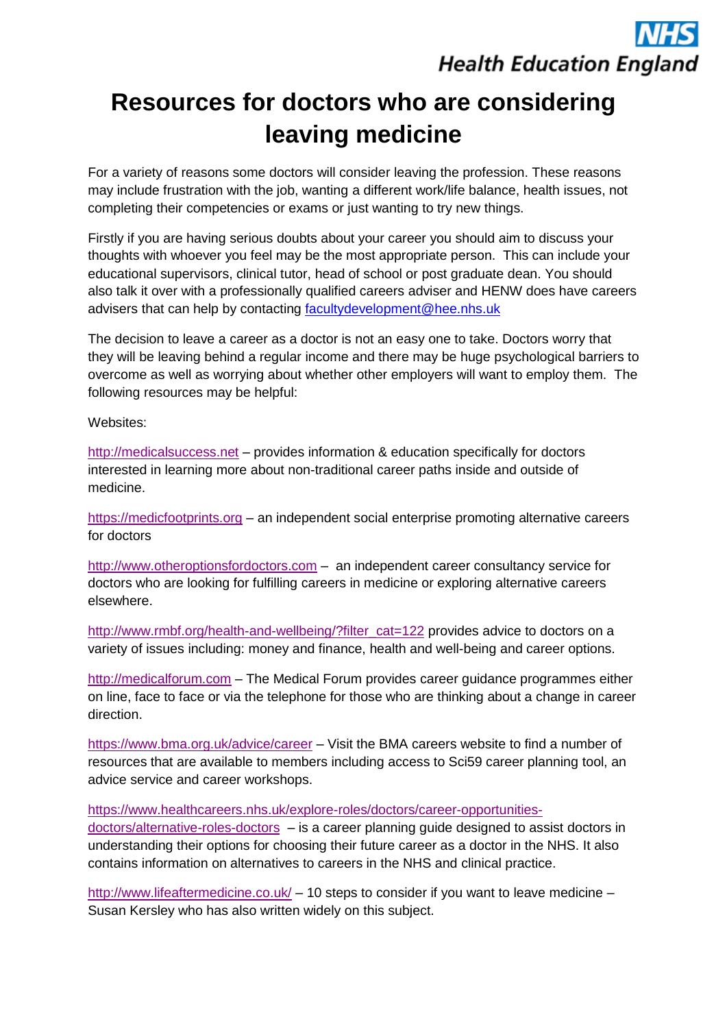## **Health Education England**

## **Resources for doctors who are considering leaving medicine**

For a variety of reasons some doctors will consider leaving the profession. These reasons may include frustration with the job, wanting a different work/life balance, health issues, not completing their competencies or exams or just wanting to try new things.

Firstly if you are having serious doubts about your career you should aim to discuss your thoughts with whoever you feel may be the most appropriate person. This can include your educational supervisors, clinical tutor, head of school or post graduate dean. You should also talk it over with a professionally qualified careers adviser and HENW does have careers advisers that can help by contacting [facultydevelopment@hee.nhs.uk](mailto:facultydevelopment@hee.nhs.uk)

The decision to leave a career as a doctor is not an easy one to take. Doctors worry that they will be leaving behind a regular income and there may be huge psychological barriers to overcome as well as worrying about whether other employers will want to employ them. The following resources may be helpful:

Websites:

[http://medicalsuccess.net](http://medicalsuccess.net/) – provides information & education specifically for doctors interested in learning more about non-traditional career paths inside and outside of medicine.

[https://medicfootprints.org](https://medicfootprints.org/) – an independent social enterprise promoting alternative careers for doctors

[http://www.otheroptionsfordoctors.com](http://www.otheroptionsfordoctors.com/) – an independent career consultancy service for doctors who are looking for fulfilling careers in medicine or exploring alternative careers elsewhere.

[http://www.rmbf.org/health-and-wellbeing/?filter\\_cat=122](http://www.rmbf.org/health-and-wellbeing/?filter_cat=122) provides advice to doctors on a variety of issues including: money and finance, health and well-being and career options.

[http://medicalforum.com](http://medicalforum.com/) – The Medical Forum provides career guidance programmes either on line, face to face or via the telephone for those who are thinking about a change in career direction.

<https://www.bma.org.uk/advice/career> – Visit the BMA careers website to find a number of resources that are available to members including access to Sci59 career planning tool, an advice service and career workshops.

[https://www.healthcareers.nhs.uk/explore-roles/doctors/career-opportunities](https://www.healthcareers.nhs.uk/explore-roles/doctors/career-opportunities-doctors/alternative-roles-doctors)[doctors/alternative-roles-doctors](https://www.healthcareers.nhs.uk/explore-roles/doctors/career-opportunities-doctors/alternative-roles-doctors) – is a career planning guide designed to assist doctors in understanding their options for choosing their future career as a doctor in the NHS. It also contains information on alternatives to careers in the NHS and clinical practice.

<http://www.lifeaftermedicine.co.uk/> – 10 steps to consider if you want to leave medicine – Susan Kersley who has also written widely on this subject.